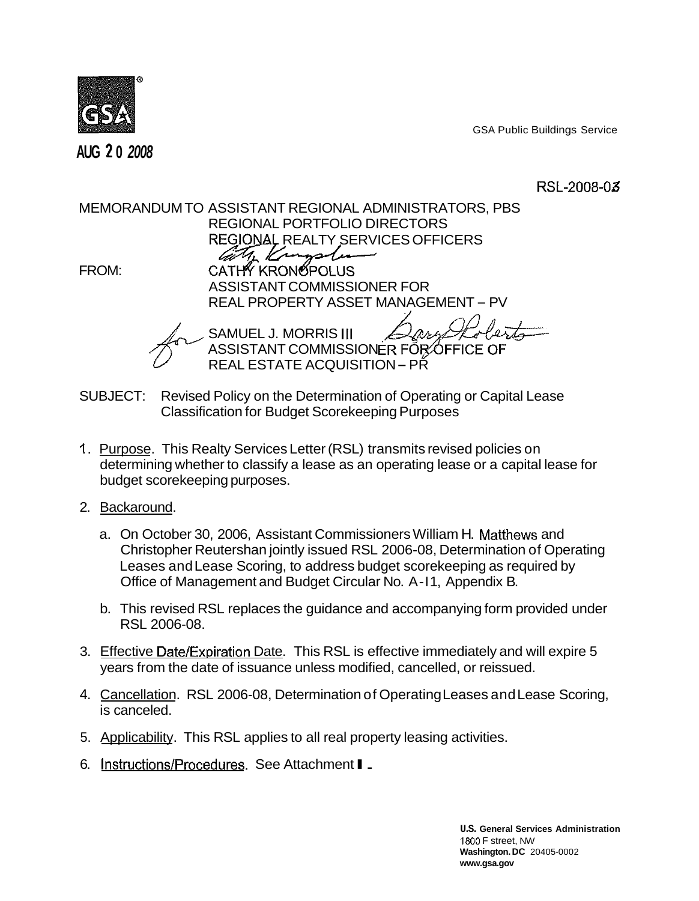

**2 AUG 0 2008** 

GSA Public Buildings Service

RSL-2008-03

MEMORANDUM TO ASSISTANT REGIONAL ADMINISTRATORS, PBS REGIONAL PORTFOLIO DIRECTORS REGIONAL REALTY SERVICES OFFICERS M. Kronsodu FROM: CATHY KRONOPOLUS ASSISTANT COMMISSIONER FOR REAL PROPERTY ASSET MANAGEMENT - PV SAMUEL J. MORRIS III ASSISTANT COMMISSIONER FOR OFFIC REAL ESTATE ACQUISITION - PŘ

- SUBJECT: Revised Policy on the Determination of Operating or Capital Lease Classification for Budget Scorekeeping Purposes
- I. Purpose. This Realty Services Letter (RSL) transmits revised policies on determining whether to classify a lease as an operating lease or a capital lease for budget scorekeeping purposes.
- 2. Backaround.
	- a. On October 30, 2006, Assistant Commissioners William H. Matthews and Christopher Reutershan jointly issued RSL 2006-08, Determination of Operating Leases and Lease Scoring, to address budget scorekeeping as required by Office of Management and Budget Circular No. A-11, Appendix B.
	- b. This revised RSL replaces the guidance and accompanying form provided under RSL 2006-08.
- 3. Effective Date/Expiration Date. This RSL is effective immediately and will expire 5 years from the date of issuance unless modified, cancelled, or reissued.
- 4. Cancellation. RSL 2006-08, Determination of Operating Leases and Lease Scoring, is canceled.
- 5. Applicability. This RSL applies to all real property leasing activities.
- 5. <u>Applicability</u>. I his RSL applies to all real prop<br>6. <u>Instructions/Procedures</u>. See Attachment ∎ <sub>−</sub>

1800 F street, NW **U.S. General Services Administration Washington. DC** 20405-0002 **www.gsa.gov**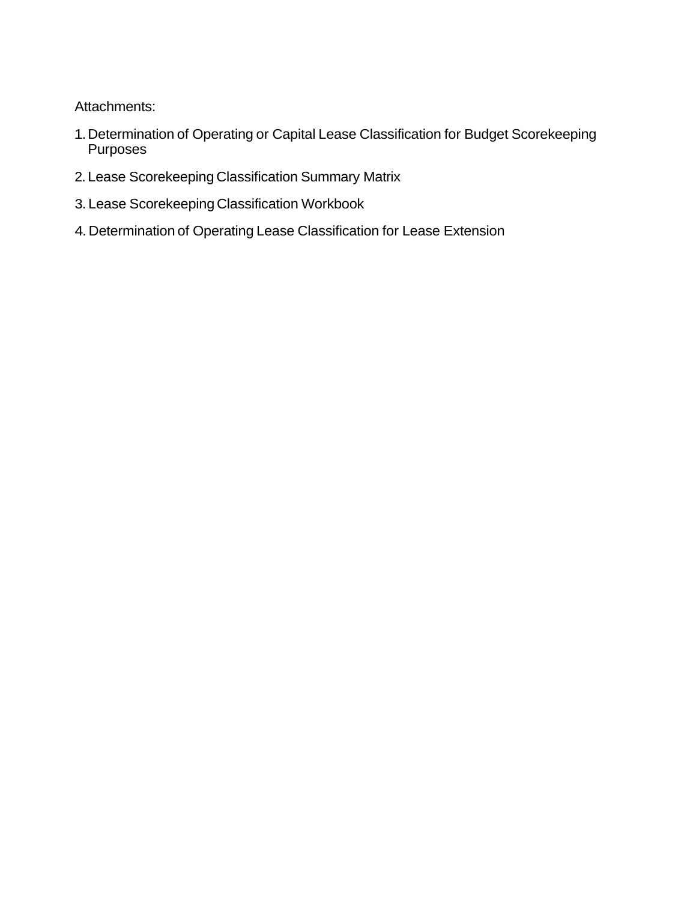Attachments:

- 1.Determination of Operating or Capital Lease Classification for Budget Scorekeeping Purposes
- 2. Lease Scorekeeping Classification Summary Matrix
- 3. Lease Scorekeeping Classification Workbook
- 4. Determination of Operating Lease Classification for Lease Extension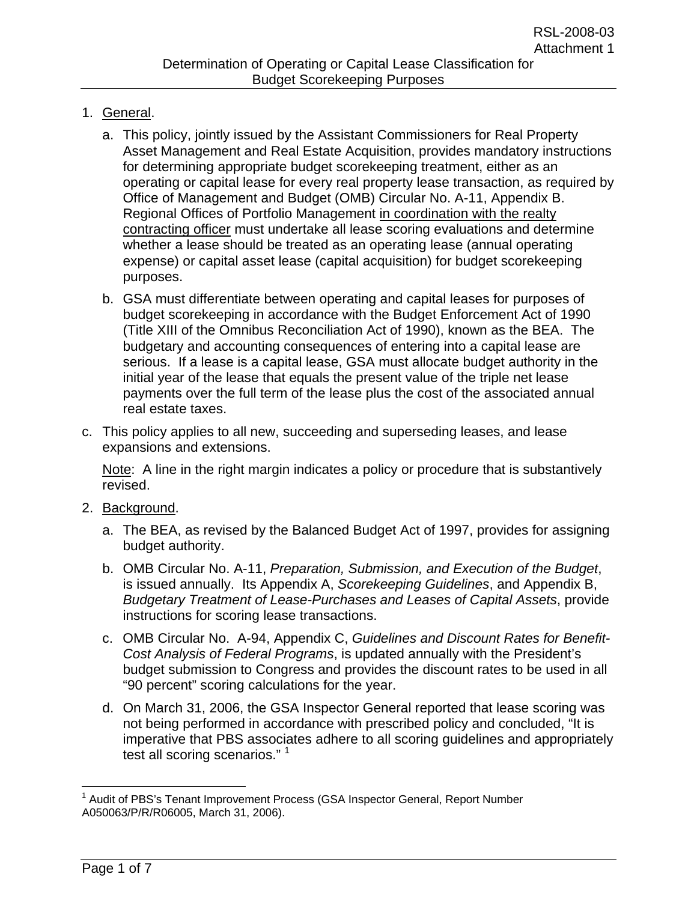- 1. General.
	- a. This policy, jointly issued by the Assistant Commissioners for Real Property Asset Management and Real Estate Acquisition, provides mandatory instructions for determining appropriate budget scorekeeping treatment, either as an operating or capital lease for every real property lease transaction, as required by Office of Management and Budget (OMB) Circular No. A-11, Appendix B. Regional Offices of Portfolio Management in coordination with the realty contracting officer must undertake all lease scoring evaluations and determine whether a lease should be treated as an operating lease (annual operating expense) or capital asset lease (capital acquisition) for budget scorekeeping purposes.
	- b. GSA must differentiate between operating and capital leases for purposes of budget scorekeeping in accordance with the Budget Enforcement Act of 1990 (Title XIII of the Omnibus Reconciliation Act of 1990), known as the BEA. The budgetary and accounting consequences of entering into a capital lease are serious. If a lease is a capital lease, GSA must allocate budget authority in the initial year of the lease that equals the present value of the triple net lease payments over the full term of the lease plus the cost of the associated annual real estate taxes.
- c. This policy applies to all new, succeeding and superseding leases, and lease expansions and extensions.

 Note: A line in the right margin indicates a policy or procedure that is substantively revised.

- 2. Background.
	- a. The BEA, as revised by the Balanced Budget Act of 1997, provides for assigning budget authority.
	- b. OMB Circular No. A-11, *Preparation, Submission, and Execution of the Budget*, is issued annually. Its Appendix A, *Scorekeeping Guidelines*, and Appendix B, *Budgetary Treatment of Lease-Purchases and Leases of Capital Assets*, provide instructions for scoring lease transactions.
	- c. OMB Circular No. A-94, Appendix C, *Guidelines and Discount Rates for Benefit-Cost Analysis of Federal Programs*, is updated annually with the President's budget submission to Congress and provides the discount rates to be used in all "90 percent" scoring calculations for the year.
	- d. On March 31, 2006, the GSA Inspector General reported that lease scoring was not being performed in accordance with prescribed policy and concluded, "It is imperative that PBS associates adhere to all scoring guidelines and appropriately test all scoring scenarios."<sup>1</sup>

 $\overline{a}$ <sup>1</sup> Audit of PBS's Tenant Improvement Process (GSA Inspector General, Report Number A050063/P/R/R06005, March 31, 2006).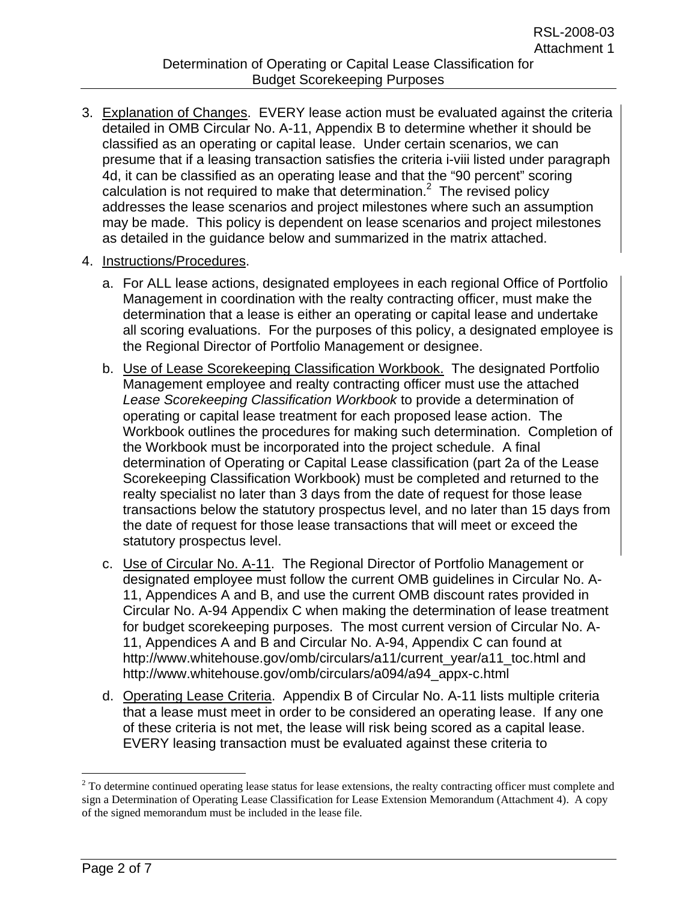- 3. Explanation of Changes. EVERY lease action must be evaluated against the criteria detailed in OMB Circular No. A-11, Appendix B to determine whether it should be classified as an operating or capital lease. Under certain scenarios, we can presume that if a leasing transaction satisfies the criteria i-viii listed under paragraph 4d, it can be classified as an operating lease and that the "90 percent" scoring calculation is not required to make that determination. $<sup>2</sup>$  The revised policy</sup> addresses the lease scenarios and project milestones where such an assumption may be made. This policy is dependent on lease scenarios and project milestones as detailed in the guidance below and summarized in the matrix attached.
- 4. Instructions/Procedures.
	- a. For ALL lease actions, designated employees in each regional Office of Portfolio Management in coordination with the realty contracting officer, must make the determination that a lease is either an operating or capital lease and undertake all scoring evaluations. For the purposes of this policy, a designated employee is the Regional Director of Portfolio Management or designee.
	- b. Use of Lease Scorekeeping Classification Workbook. The designated Portfolio Management employee and realty contracting officer must use the attached *Lease Scorekeeping Classification Workbook* to provide a determination of operating or capital lease treatment for each proposed lease action. The Workbook outlines the procedures for making such determination. Completion of the Workbook must be incorporated into the project schedule. A final determination of Operating or Capital Lease classification (part 2a of the Lease Scorekeeping Classification Workbook) must be completed and returned to the realty specialist no later than 3 days from the date of request for those lease transactions below the statutory prospectus level, and no later than 15 days from the date of request for those lease transactions that will meet or exceed the statutory prospectus level.
	- c. Use of Circular No. A-11. The Regional Director of Portfolio Management or designated employee must follow the current OMB guidelines in Circular No. A-11, Appendices A and B, and use the current OMB discount rates provided in Circular No. A-94 Appendix C when making the determination of lease treatment for budget scorekeeping purposes. The most current version of Circular No. A-11, Appendices A and B and Circular No. A-94, Appendix C can found at http://www.whitehouse.gov/omb/circulars/a11/current\_year/a11\_toc.html and http://www.whitehouse.gov/omb/circulars/a094/a94\_appx-c.html
	- d. Operating Lease Criteria. Appendix B of Circular No. A-11 lists multiple criteria that a lease must meet in order to be considered an operating lease. If any one of these criteria is not met, the lease will risk being scored as a capital lease. EVERY leasing transaction must be evaluated against these criteria to

1

 $2^{2}$  To determine continued operating lease status for lease extensions, the realty contracting officer must complete and sign a Determination of Operating Lease Classification for Lease Extension Memorandum (Attachment 4). A copy of the signed memorandum must be included in the lease file.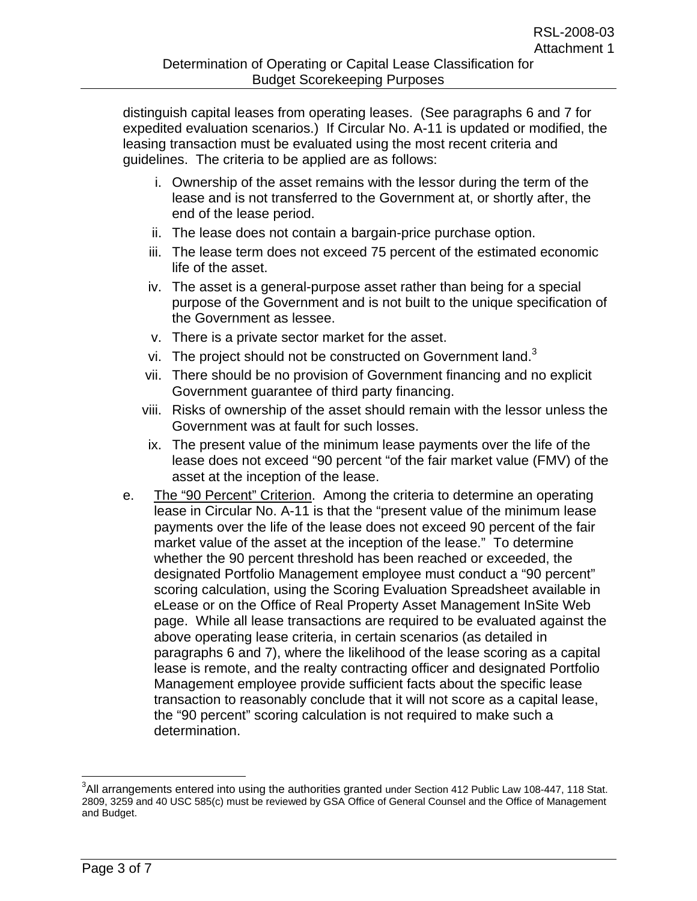distinguish capital leases from operating leases. (See paragraphs 6 and 7 for expedited evaluation scenarios.) If Circular No. A-11 is updated or modified, the leasing transaction must be evaluated using the most recent criteria and guidelines. The criteria to be applied are as follows:

- i. Ownership of the asset remains with the lessor during the term of the lease and is not transferred to the Government at, or shortly after, the end of the lease period.
- ii. The lease does not contain a bargain-price purchase option.
- iii. The lease term does not exceed 75 percent of the estimated economic life of the asset.
- iv. The asset is a general-purpose asset rather than being for a special purpose of the Government and is not built to the unique specification of the Government as lessee.
- v. There is a private sector market for the asset.
- vi. The project should not be constructed on Government land.<sup>3</sup>
- vii. There should be no provision of Government financing and no explicit Government guarantee of third party financing.
- viii. Risks of ownership of the asset should remain with the lessor unless the Government was at fault for such losses.
- ix. The present value of the minimum lease payments over the life of the lease does not exceed "90 percent "of the fair market value (FMV) of the asset at the inception of the lease.
- e. The "90 Percent" Criterion. Among the criteria to determine an operating lease in Circular No. A-11 is that the "present value of the minimum lease payments over the life of the lease does not exceed 90 percent of the fair market value of the asset at the inception of the lease." To determine whether the 90 percent threshold has been reached or exceeded, the designated Portfolio Management employee must conduct a "90 percent" scoring calculation, using the Scoring Evaluation Spreadsheet available in eLease or on the Office of Real Property Asset Management InSite Web page. While all lease transactions are required to be evaluated against the above operating lease criteria, in certain scenarios (as detailed in paragraphs 6 and 7), where the likelihood of the lease scoring as a capital lease is remote, and the realty contracting officer and designated Portfolio Management employee provide sufficient facts about the specific lease transaction to reasonably conclude that it will not score as a capital lease, the "90 percent" scoring calculation is not required to make such a determination.

 $\overline{a}$ 

 $3$ All arrangements entered into using the authorities granted under Section 412 Public Law 108-447, 118 Stat. 2809, 3259 and 40 USC 585(c) must be reviewed by GSA Office of General Counsel and the Office of Management and Budget.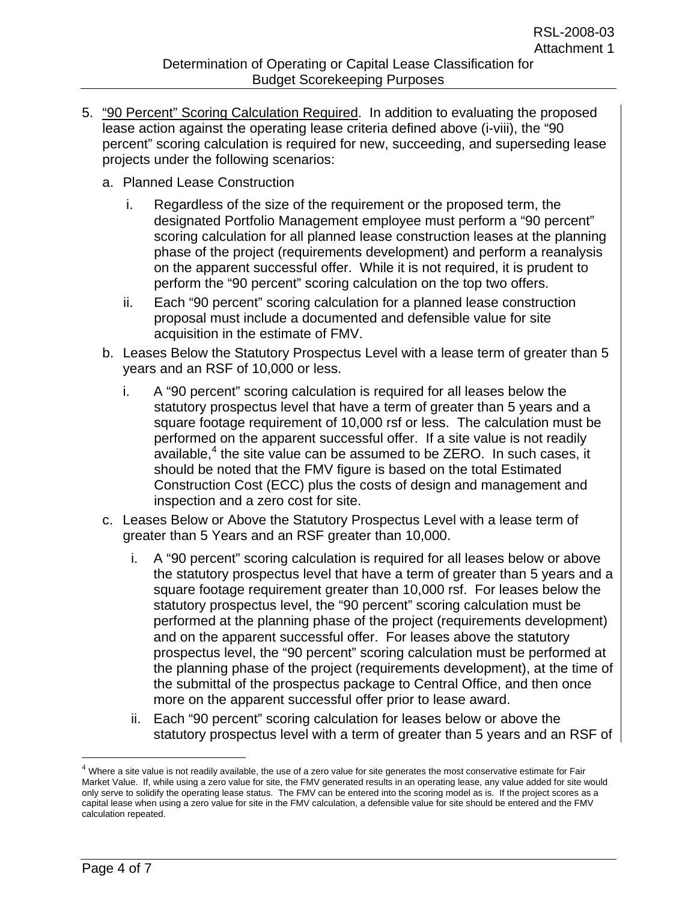- 5. "90 Percent" Scoring Calculation Required. In addition to evaluating the proposed lease action against the operating lease criteria defined above (i-viii), the "90 percent" scoring calculation is required for new, succeeding, and superseding lease projects under the following scenarios:
	- a. Planned Lease Construction
		- i. Regardless of the size of the requirement or the proposed term, the designated Portfolio Management employee must perform a "90 percent" scoring calculation for all planned lease construction leases at the planning phase of the project (requirements development) and perform a reanalysis on the apparent successful offer. While it is not required, it is prudent to perform the "90 percent" scoring calculation on the top two offers.
		- ii. Each "90 percent" scoring calculation for a planned lease construction proposal must include a documented and defensible value for site acquisition in the estimate of FMV.
	- b. Leases Below the Statutory Prospectus Level with a lease term of greater than 5 years and an RSF of 10,000 or less.
		- i. A "90 percent" scoring calculation is required for all leases below the statutory prospectus level that have a term of greater than 5 years and a square footage requirement of 10,000 rsf or less. The calculation must be performed on the apparent successful offer. If a site value is not readily available, $<sup>4</sup>$  the site value can be assumed to be ZERO. In such cases, it</sup> should be noted that the FMV figure is based on the total Estimated Construction Cost (ECC) plus the costs of design and management and inspection and a zero cost for site.
	- c. Leases Below or Above the Statutory Prospectus Level with a lease term of greater than 5 Years and an RSF greater than 10,000.
		- i. A "90 percent" scoring calculation is required for all leases below or above the statutory prospectus level that have a term of greater than 5 years and a square footage requirement greater than 10,000 rsf. For leases below the statutory prospectus level, the "90 percent" scoring calculation must be performed at the planning phase of the project (requirements development) and on the apparent successful offer. For leases above the statutory prospectus level, the "90 percent" scoring calculation must be performed at the planning phase of the project (requirements development), at the time of the submittal of the prospectus package to Central Office, and then once more on the apparent successful offer prior to lease award.
		- ii. Each "90 percent" scoring calculation for leases below or above the statutory prospectus level with a term of greater than 5 years and an RSF of

 $\overline{a}$ 

 $4$  Where a site value is not readily available, the use of a zero value for site generates the most conservative estimate for Fair Market Value. If, while using a zero value for site, the FMV generated results in an operating lease, any value added for site would only serve to solidify the operating lease status. The FMV can be entered into the scoring model as is. If the project scores as a capital lease when using a zero value for site in the FMV calculation, a defensible value for site should be entered and the FMV calculation repeated.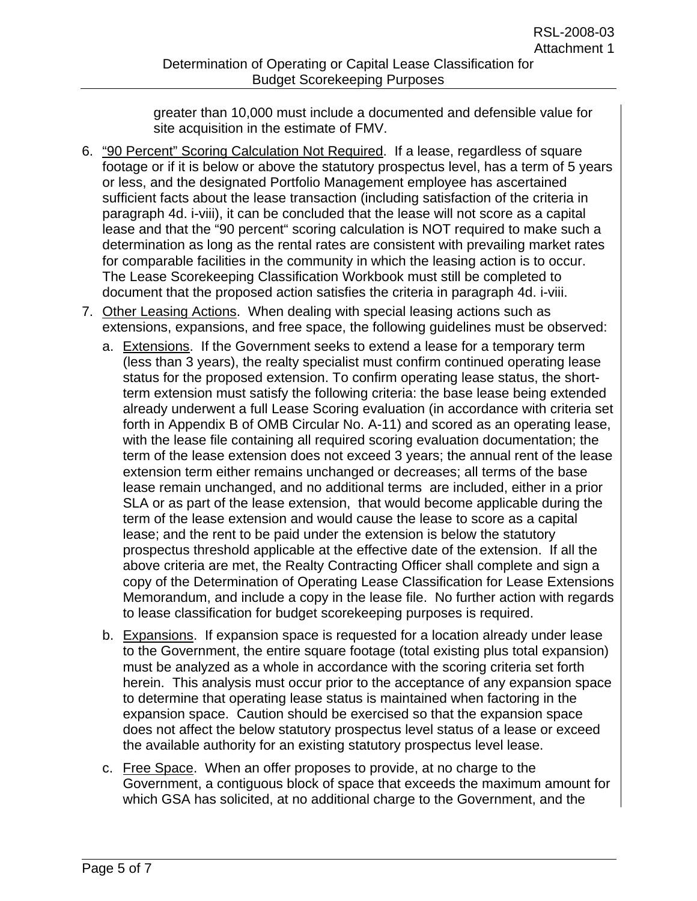greater than 10,000 must include a documented and defensible value for site acquisition in the estimate of FMV.

- 6. "90 Percent" Scoring Calculation Not Required. If a lease, regardless of square footage or if it is below or above the statutory prospectus level, has a term of 5 years or less, and the designated Portfolio Management employee has ascertained sufficient facts about the lease transaction (including satisfaction of the criteria in paragraph 4d. i-viii), it can be concluded that the lease will not score as a capital lease and that the "90 percent" scoring calculation is NOT required to make such a determination as long as the rental rates are consistent with prevailing market rates for comparable facilities in the community in which the leasing action is to occur. The Lease Scorekeeping Classification Workbook must still be completed to document that the proposed action satisfies the criteria in paragraph 4d. i-viii.
- 7. Other Leasing Actions. When dealing with special leasing actions such as extensions, expansions, and free space, the following guidelines must be observed:
	- a. Extensions. If the Government seeks to extend a lease for a temporary term (less than 3 years), the realty specialist must confirm continued operating lease status for the proposed extension. To confirm operating lease status, the shortterm extension must satisfy the following criteria: the base lease being extended already underwent a full Lease Scoring evaluation (in accordance with criteria set forth in Appendix B of OMB Circular No. A-11) and scored as an operating lease, with the lease file containing all required scoring evaluation documentation; the term of the lease extension does not exceed 3 years; the annual rent of the lease extension term either remains unchanged or decreases; all terms of the base lease remain unchanged, and no additional terms are included, either in a prior SLA or as part of the lease extension, that would become applicable during the term of the lease extension and would cause the lease to score as a capital lease; and the rent to be paid under the extension is below the statutory prospectus threshold applicable at the effective date of the extension. If all the above criteria are met, the Realty Contracting Officer shall complete and sign a copy of the Determination of Operating Lease Classification for Lease Extensions Memorandum, and include a copy in the lease file. No further action with regards to lease classification for budget scorekeeping purposes is required.
	- b. Expansions. If expansion space is requested for a location already under lease to the Government, the entire square footage (total existing plus total expansion) must be analyzed as a whole in accordance with the scoring criteria set forth herein. This analysis must occur prior to the acceptance of any expansion space to determine that operating lease status is maintained when factoring in the expansion space. Caution should be exercised so that the expansion space does not affect the below statutory prospectus level status of a lease or exceed the available authority for an existing statutory prospectus level lease.
	- c. Free Space. When an offer proposes to provide, at no charge to the Government, a contiguous block of space that exceeds the maximum amount for which GSA has solicited, at no additional charge to the Government, and the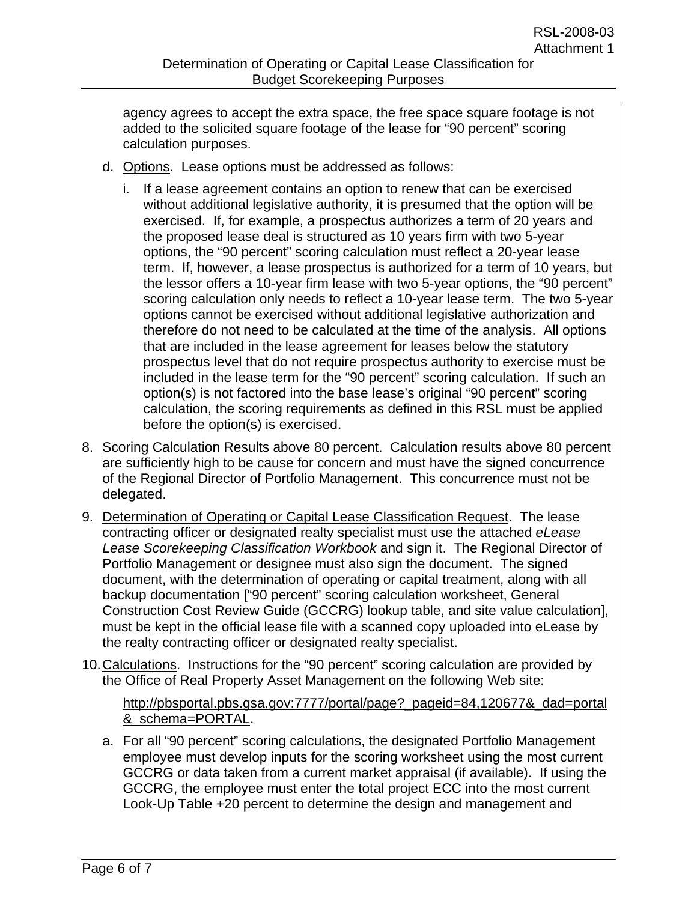agency agrees to accept the extra space, the free space square footage is not added to the solicited square footage of the lease for "90 percent" scoring calculation purposes.

- d. Options. Lease options must be addressed as follows:
	- i. If a lease agreement contains an option to renew that can be exercised without additional legislative authority, it is presumed that the option will be exercised. If, for example, a prospectus authorizes a term of 20 years and the proposed lease deal is structured as 10 years firm with two 5-year options, the "90 percent" scoring calculation must reflect a 20-year lease term. If, however, a lease prospectus is authorized for a term of 10 years, but the lessor offers a 10-year firm lease with two 5-year options, the "90 percent" scoring calculation only needs to reflect a 10-year lease term. The two 5-year options cannot be exercised without additional legislative authorization and therefore do not need to be calculated at the time of the analysis. All options that are included in the lease agreement for leases below the statutory prospectus level that do not require prospectus authority to exercise must be included in the lease term for the "90 percent" scoring calculation. If such an option(s) is not factored into the base lease's original "90 percent" scoring calculation, the scoring requirements as defined in this RSL must be applied before the option(s) is exercised.
- 8. Scoring Calculation Results above 80 percent. Calculation results above 80 percent are sufficiently high to be cause for concern and must have the signed concurrence of the Regional Director of Portfolio Management. This concurrence must not be delegated.
- 9. Determination of Operating or Capital Lease Classification Request. The lease contracting officer or designated realty specialist must use the attached *eLease Lease Scorekeeping Classification Workbook* and sign it. The Regional Director of Portfolio Management or designee must also sign the document. The signed document, with the determination of operating or capital treatment, along with all backup documentation ["90 percent" scoring calculation worksheet, General Construction Cost Review Guide (GCCRG) lookup table, and site value calculation], must be kept in the official lease file with a scanned copy uploaded into eLease by the realty contracting officer or designated realty specialist.
- 10. Calculations. Instructions for the "90 percent" scoring calculation are provided by the Office of Real Property Asset Management on the following Web site:

## http://pbsportal.pbs.gsa.gov:7777/portal/page?\_pageid=84,120677&\_dad=portal &\_schema=PORTAL.

a. For all "90 percent" scoring calculations, the designated Portfolio Management employee must develop inputs for the scoring worksheet using the most current GCCRG or data taken from a current market appraisal (if available). If using the GCCRG, the employee must enter the total project ECC into the most current Look-Up Table +20 percent to determine the design and management and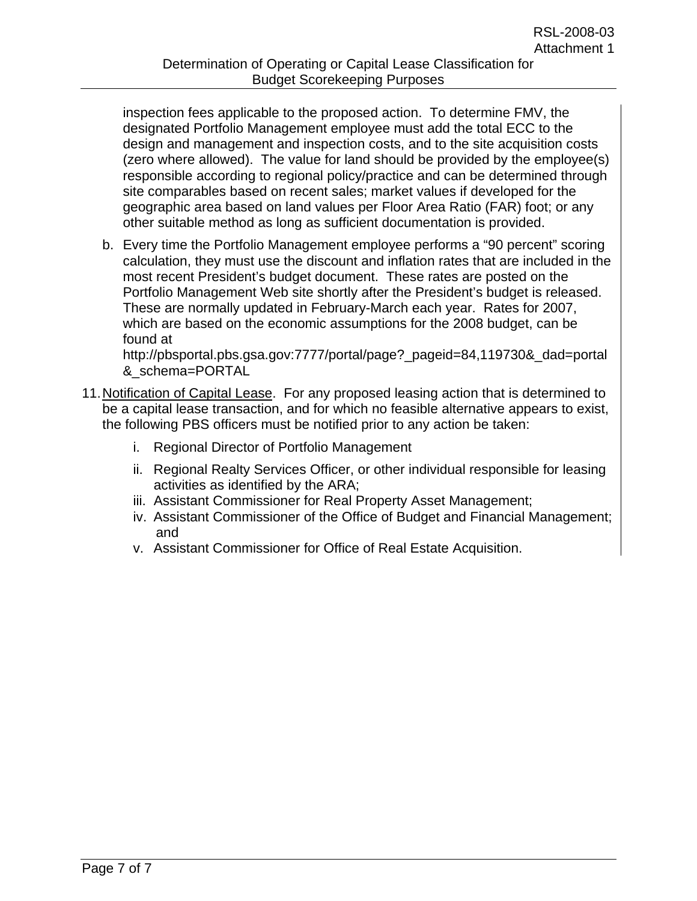inspection fees applicable to the proposed action. To determine FMV, the designated Portfolio Management employee must add the total ECC to the design and management and inspection costs, and to the site acquisition costs (zero where allowed). The value for land should be provided by the employee(s) responsible according to regional policy/practice and can be determined through site comparables based on recent sales; market values if developed for the geographic area based on land values per Floor Area Ratio (FAR) foot; or any other suitable method as long as sufficient documentation is provided.

b. Every time the Portfolio Management employee performs a "90 percent" scoring calculation, they must use the discount and inflation rates that are included in the most recent President's budget document. These rates are posted on the Portfolio Management Web site shortly after the President's budget is released. These are normally updated in February-March each year. Rates for 2007, which are based on the economic assumptions for the 2008 budget, can be found at

http://pbsportal.pbs.gsa.gov:7777/portal/page?\_pageid=84,119730&\_dad=portal &\_schema=PORTAL

- 11. Notification of Capital Lease. For any proposed leasing action that is determined to be a capital lease transaction, and for which no feasible alternative appears to exist, the following PBS officers must be notified prior to any action be taken:
	- i. Regional Director of Portfolio Management
	- ii. Regional Realty Services Officer, or other individual responsible for leasing activities as identified by the ARA;
	- iii. Assistant Commissioner for Real Property Asset Management;
	- iv. Assistant Commissioner of the Office of Budget and Financial Management; and
	- v. Assistant Commissioner for Office of Real Estate Acquisition.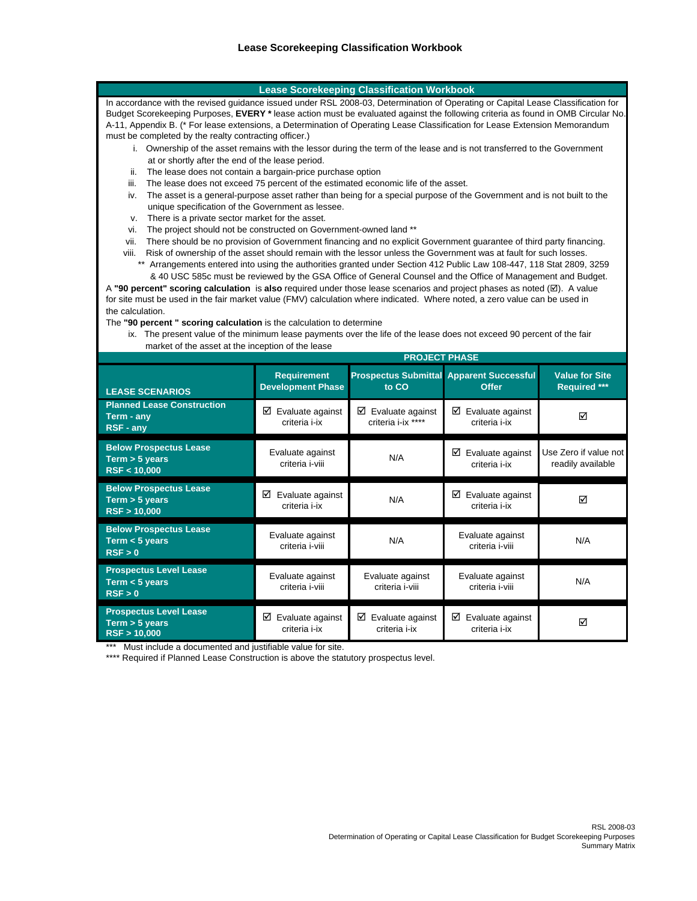#### **Lease Scorekeeping Classification Workbook**

In accordance with the revised guidance issued under RSL 2008-03, Determination of Operating or Capital Lease Classification for Budget Scorekeeping Purposes, **EVERY \*** lease action must be evaluated against the following criteria as found in OMB Circular No. A-11, Appendix B. (\* For lease extensions, a Determination of Operating Lease Classification for Lease Extension Memorandum must be completed by the realty contracting officer.)

- i. Ownership of the asset remains with the lessor during the term of the lease and is not transferred to the Government at or shortly after the end of the lease period.
- ii. The lease does not contain a bargain-price purchase option
- iii. The lease does not exceed 75 percent of the estimated economic life of the asset.
- iv. The asset is a general-purpose asset rather than being for a special purpose of the Government and is not built to the unique specification of the Government as lessee.
- v. There is a private sector market for the asset.
- vi. The project should not be constructed on Government-owned land \*\*
- vii. There should be no provision of Government financing and no explicit Government guarantee of third party financing.
- viii. Risk of ownership of the asset should remain with the lessor unless the Government was at fault for such losses.
	- \*\* Arrangements entered into using the authorities granted under Section 412 Public Law 108-447, 118 Stat 2809, 3259 & 40 USC 585c must be reviewed by the GSA Office of General Counsel and the Office of Management and Budget.

the calculation. A **"90 percent" scoring calculation** is **also** required under those lease scenarios and project phases as noted (;). A value for site must be used in the fair market value (FMV) calculation where indicated. Where noted, a zero value can be used in

The **"90 percent " scoring calculation** is the calculation to determine

 market of the asset at the inception of the lease ix. The present value of the minimum lease payments over the life of the lease does not exceed 90 percent of the fair

|                                                                     | <b>PROJECT PHASE</b>                           |                                                          |                                        |                                              |  |  |
|---------------------------------------------------------------------|------------------------------------------------|----------------------------------------------------------|----------------------------------------|----------------------------------------------|--|--|
| <b>LEASE SCENARIOS</b>                                              | <b>Requirement</b><br><b>Development Phase</b> | <b>Prospectus Submittal Apparent Successful</b><br>to CO | Offer                                  | <b>Value for Site</b><br><b>Required ***</b> |  |  |
| <b>Planned Lease Construction</b><br>Term - any<br><b>RSF - any</b> | ☑<br>Evaluate against<br>criteria i-ix         | ☑<br>Evaluate against<br>criteria i-ix ****              | ☑<br>Evaluate against<br>criteria i-ix | ⊠                                            |  |  |
| <b>Below Prospectus Lease</b><br>Term > 5 years<br>RSF < 10,000     | Evaluate against<br>criteria i-viii            | N/A                                                      | Evaluate against<br>☑<br>criteria i-ix | Use Zero if value not<br>readily available   |  |  |
| <b>Below Prospectus Lease</b><br>Term $>$ 5 years<br>RSF > 10,000   | ☑<br>Evaluate against<br>criteria i-ix         | N/A                                                      | ☑<br>Evaluate against<br>criteria i-ix | ⊠                                            |  |  |
| <b>Below Prospectus Lease</b><br>Term $<$ 5 years<br>RSF > 0        | Evaluate against<br>criteria i-viii            | N/A                                                      | Evaluate against<br>criteria i-viii    | N/A                                          |  |  |
| <b>Prospectus Level Lease</b><br>Term $<$ 5 years<br>RSF > 0        | Evaluate against<br>criteria i-viii            | Evaluate against<br>criteria i-viii                      | Evaluate against<br>criteria i-viii    | N/A                                          |  |  |
| <b>Prospectus Level Lease</b><br>Term > 5 years<br>RSF > 10,000     | ☑<br>Evaluate against<br>criteria i-ix         | ☑<br>Evaluate against<br>criteria i-ix                   | ☑<br>Evaluate against<br>criteria i-ix | ⊠                                            |  |  |

\*\* Must include a documented and justifiable value for site.

\*\*\*\* Required if Planned Lease Construction is above the statutory prospectus level.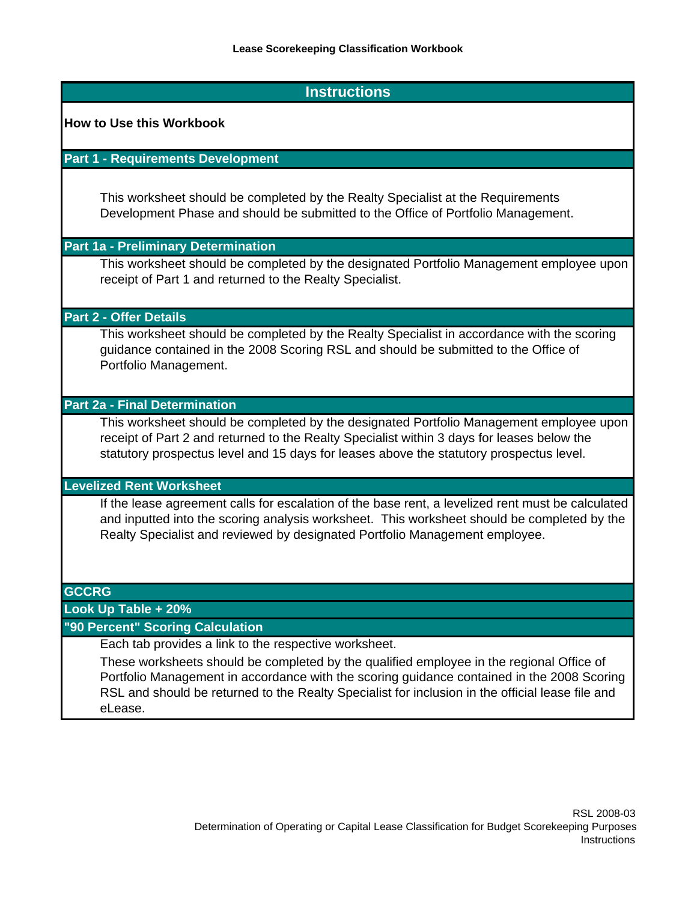## **Instructions**

#### **How to Use this Workbook**

### **Part 1 - Requirements Development**

This worksheet should be completed by the Realty Specialist at the Requirements Development Phase and should be submitted to the Office of Portfolio Management.

#### **Part 1a - Preliminary Determination**

This worksheet should be completed by the designated Portfolio Management employee upon receipt of Part 1 and returned to the Realty Specialist.

#### **Part 2 - Offer Details**

This worksheet should be completed by the Realty Specialist in accordance with the scoring guidance contained in the 2008 Scoring RSL and should be submitted to the Office of Portfolio Management.

### **Part 2a - Final Determination**

This worksheet should be completed by the designated Portfolio Management employee upon receipt of Part 2 and returned to the Realty Specialist within 3 days for leases below the statutory prospectus level and 15 days for leases above the statutory prospectus level.

## **Levelized Rent Worksheet**

If the lease agreement calls for escalation of the base rent, a levelized rent must be calculated and inputted into the scoring analysis worksheet. This worksheet should be completed by the Realty Specialist and reviewed by designated Portfolio Management employee.

#### **GCCRG**

**Look Up Table + 20%**

## **"90 Percent" Scoring Calculation**

Each tab provides a link to the respective worksheet.

These worksheets should be completed by the qualified employee in the regional Office of Portfolio Management in accordance with the scoring guidance contained in the 2008 Scoring RSL and should be returned to the Realty Specialist for inclusion in the official lease file and eLease.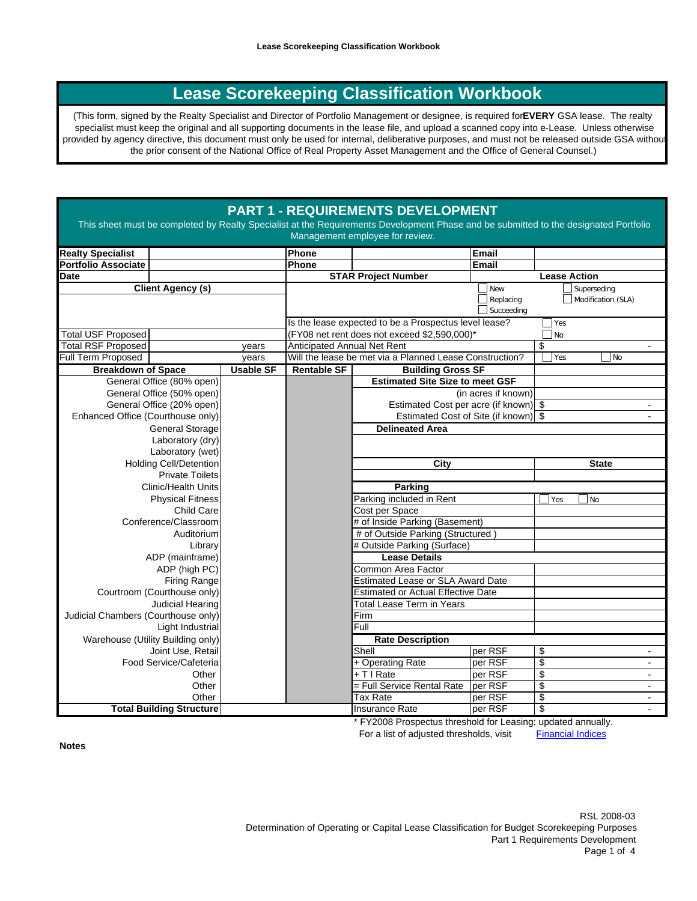# **Lease Scorekeeping Classification Workbook**

(This form, signed by the Realty Specialist and Director of Portfolio Management or designee, is required for **EVERY** GSA lease. The realty specialist must keep the original and all supporting documents in the lease file, and upload a scanned copy into e-Lease. Unless otherwise provided by agency directive, this document must only be used for internal, deliberative purposes, and must not be released outside GSA without the prior consent of the National Office of Real Property Asset Management and the Office of General Counsel.)

## **PART 1 - REQUIREMENTS DEVELOPMENT**

This sheet must be completed by Realty Specialist at the Requirements Development Phase and be submitted to the designated Portfolio Management employee for review.

|                                                 |                        | Phone                       |                                                         | Email               |                                              |
|-------------------------------------------------|------------------------|-----------------------------|---------------------------------------------------------|---------------------|----------------------------------------------|
| <b>Realty Specialist</b><br>Portfolio Associate |                        | Phone                       |                                                         | <b>Email</b>        |                                              |
| <b>Date</b>                                     |                        |                             | <b>STAR Project Number</b>                              |                     | <b>Lease Action</b>                          |
| <b>Client Agency (s)</b>                        |                        |                             |                                                         | New                 | Superseding                                  |
|                                                 |                        |                             |                                                         | Replacing           | Modification (SLA)                           |
|                                                 |                        |                             |                                                         | Succeeding          |                                              |
|                                                 |                        |                             | Is the lease expected to be a Prospectus level lease?   |                     | Yes                                          |
| <b>Total USF Proposed</b>                       |                        |                             | (FY08 net rent does not exceed \$2,590,000)*            |                     | No                                           |
| <b>Total RSF Proposed</b>                       | vears                  | Anticipated Annual Net Rent |                                                         |                     | \$<br>$\blacksquare$                         |
| Full Term Proposed                              | vears                  |                             | Will the lease be met via a Planned Lease Construction? |                     | Yes<br>  No                                  |
| <b>Breakdown of Space</b>                       | <b>Usable SF</b>       | <b>Rentable SF</b>          | <b>Building Gross SF</b>                                |                     |                                              |
| General Office (80% open)                       |                        |                             | <b>Estimated Site Size to meet GSF</b>                  |                     |                                              |
| General Office (50% open)                       |                        |                             |                                                         | (in acres if known) |                                              |
| General Office (20% open)                       |                        |                             | Estimated Cost per acre (if known) \$                   |                     |                                              |
| Enhanced Office (Courthouse only)               |                        |                             | Estimated Cost of Site (if known)                       |                     | \$                                           |
| <b>General Storage</b>                          |                        |                             | <b>Delineated Area</b>                                  |                     |                                              |
| Laboratory (dry)                                |                        |                             |                                                         |                     |                                              |
| Laboratory (wet)                                |                        |                             |                                                         |                     |                                              |
| <b>Holding Cell/Detention</b>                   |                        |                             | <b>City</b>                                             |                     | <b>State</b>                                 |
| <b>Private Toilets</b>                          |                        |                             |                                                         |                     |                                              |
| <b>Clinic/Health Units</b>                      |                        |                             | <b>Parking</b>                                          |                     |                                              |
| <b>Physical Fitness</b>                         |                        |                             | Parking included in Rent                                |                     | l No<br>Yes                                  |
| Child Care                                      |                        |                             | Cost per Space                                          |                     |                                              |
| Conference/Classroom                            |                        |                             | # of Inside Parking (Basement)                          |                     |                                              |
| Auditorium                                      |                        |                             | # of Outside Parking (Structured)                       |                     |                                              |
| Library                                         |                        |                             | # Outside Parking (Surface)                             |                     |                                              |
| ADP (mainframe)                                 |                        |                             | <b>Lease Details</b>                                    |                     |                                              |
| ADP (high PC)                                   |                        |                             | Common Area Factor                                      |                     |                                              |
| <b>Firing Range</b>                             |                        |                             | <b>Estimated Lease or SLA Award Date</b>                |                     |                                              |
| Courtroom (Courthouse only)                     |                        |                             | <b>Estimated or Actual Effective Date</b>               |                     |                                              |
| <b>Judicial Hearing</b>                         |                        |                             | <b>Total Lease Term in Years</b>                        |                     |                                              |
| Judicial Chambers (Courthouse only)             |                        |                             | Firm<br>Full                                            |                     |                                              |
| Light Industrial                                |                        |                             |                                                         |                     |                                              |
| Warehouse (Utility Building only)               |                        |                             | <b>Rate Description</b><br>Shell                        |                     |                                              |
| Joint Use, Retail                               |                        |                             |                                                         | per RSF             | \$<br>$\blacksquare$<br>\$<br>$\blacksquare$ |
| Other                                           | Food Service/Cafeteria |                             | + Operating Rate<br>per RSF<br>+ T I Rate<br>per RSF    |                     | $\overline{\mathcal{S}}$<br>$\blacksquare$   |
| Other                                           |                        |                             | = Full Service Rental Rate                              | per RSF             | $\overline{\mathcal{S}}$<br>$\blacksquare$   |
| Other                                           |                        |                             | <b>Tax Rate</b>                                         | per RSF             | \$                                           |
| <b>Total Building Structure</b>                 |                        |                             | Insurance Rate                                          | per RSF             | $\overline{\$}$<br>$\blacksquare$            |

\* FY2008 Prospectus threshold for Leasing; updated annually.

For a list of adjusted thresholds, visit Financial Indices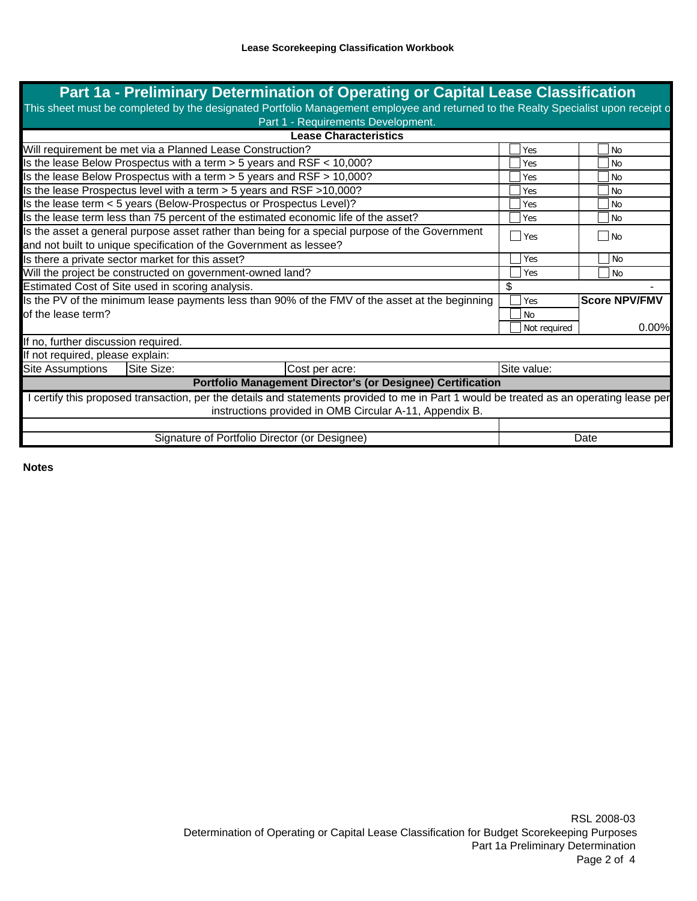| Part 1a - Preliminary Determination of Operating or Capital Lease Classification                                                        |    |              |                      |  |
|-----------------------------------------------------------------------------------------------------------------------------------------|----|--------------|----------------------|--|
| This sheet must be completed by the designated Portfolio Management employee and returned to the Realty Specialist upon receipt o       |    |              |                      |  |
| Part 1 - Requirements Development.                                                                                                      |    |              |                      |  |
| <b>Lease Characteristics</b>                                                                                                            |    |              |                      |  |
| Will requirement be met via a Planned Lease Construction?                                                                               |    | Yes          | <b>No</b>            |  |
| Is the lease Below Prospectus with a term > 5 years and RSF < 10,000?                                                                   |    | Yes          | <b>No</b>            |  |
| Is the lease Below Prospectus with a term > 5 years and RSF > 10,000?                                                                   |    | Yes          | <b>No</b>            |  |
| Is the lease Prospectus level with a term > 5 years and RSF > 10,000?                                                                   |    |              | <b>No</b>            |  |
| Is the lease term < 5 years (Below-Prospectus or Prospectus Level)?                                                                     |    |              | <b>No</b>            |  |
| Is the lease term less than 75 percent of the estimated economic life of the asset?                                                     |    |              | <b>No</b>            |  |
| Is the asset a general purpose asset rather than being for a special purpose of the Government                                          |    |              | $ $ No               |  |
| Yes<br>and not built to unique specification of the Government as lessee?                                                               |    |              |                      |  |
| Is there a private sector market for this asset?                                                                                        |    |              | l No                 |  |
| Will the project be constructed on government-owned land?                                                                               |    |              | N <sub>o</sub>       |  |
| Estimated Cost of Site used in scoring analysis.                                                                                        | \$ |              |                      |  |
| Is the PV of the minimum lease payments less than 90% of the FMV of the asset at the beginning                                          |    |              | <b>Score NPV/FMV</b> |  |
| of the lease term?                                                                                                                      |    |              |                      |  |
|                                                                                                                                         |    | Not required | 0.00%                |  |
| If no, further discussion required.                                                                                                     |    |              |                      |  |
| If not required, please explain:                                                                                                        |    |              |                      |  |
| Site Size:<br><b>Site Assumptions</b><br>Cost per acre:                                                                                 |    | Site value:  |                      |  |
| Portfolio Management Director's (or Designee) Certification                                                                             |    |              |                      |  |
| I certify this proposed transaction, per the details and statements provided to me in Part 1 would be treated as an operating lease per |    |              |                      |  |
| instructions provided in OMB Circular A-11, Appendix B.                                                                                 |    |              |                      |  |
|                                                                                                                                         |    |              |                      |  |
| Signature of Portfolio Director (or Designee)                                                                                           |    |              | Date                 |  |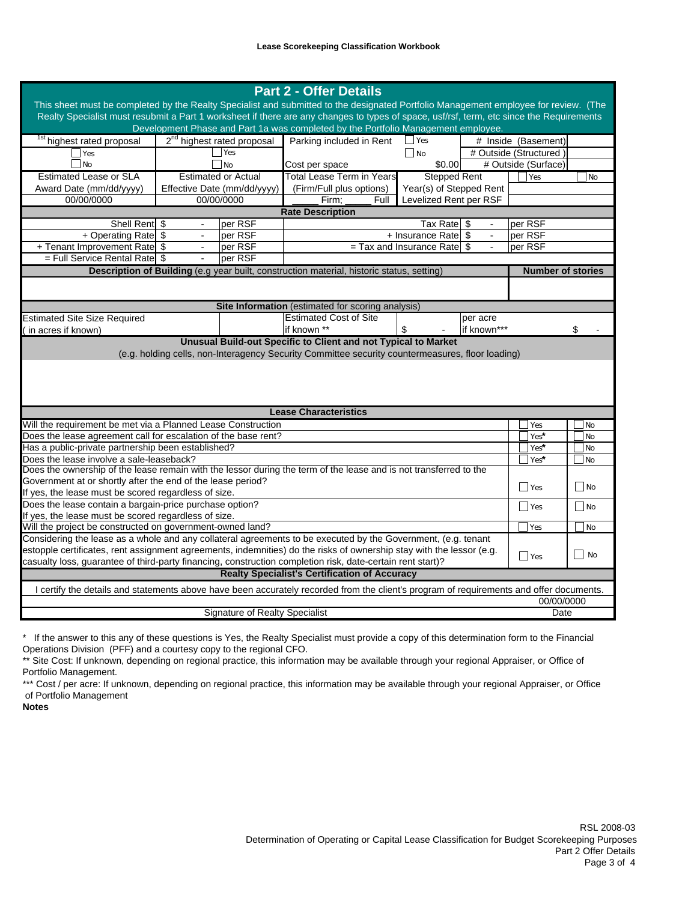| <b>Part 2 - Offer Details</b><br>This sheet must be completed by the Realty Specialist and submitted to the designated Portfolio Management employee for review. (The<br>Realty Specialist must resubmit a Part 1 worksheet if there are any changes to types of space, usf/rsf, term, etc since the Requirements<br>Development Phase and Part 1a was completed by the Portfolio Management employee. |                                                                  |                                        |                                                                                           |                                          |             |                          |           |
|--------------------------------------------------------------------------------------------------------------------------------------------------------------------------------------------------------------------------------------------------------------------------------------------------------------------------------------------------------------------------------------------------------|------------------------------------------------------------------|----------------------------------------|-------------------------------------------------------------------------------------------|------------------------------------------|-------------|--------------------------|-----------|
| <sup>1st</sup> highest rated proposal                                                                                                                                                                                                                                                                                                                                                                  |                                                                  | 2 <sup>nd</sup> highest rated proposal | Parking included in Rent                                                                  | $\Box$ Yes                               |             | # Inside (Basement)      |           |
| $\exists$ Yes                                                                                                                                                                                                                                                                                                                                                                                          |                                                                  | Yes                                    |                                                                                           | $\Box$ No                                |             | # Outside (Structured)   |           |
| l No                                                                                                                                                                                                                                                                                                                                                                                                   |                                                                  | N <sub>o</sub>                         | Cost per space                                                                            | \$0.00                                   |             | # Outside (Surface)      |           |
| <b>Estimated Lease or SLA</b>                                                                                                                                                                                                                                                                                                                                                                          |                                                                  | <b>Estimated or Actual</b>             | <b>Total Lease Term in Years</b>                                                          | <b>Stepped Rent</b>                      |             | <b>Yes</b>               | No        |
| Award Date (mm/dd/yyyy)                                                                                                                                                                                                                                                                                                                                                                                |                                                                  | Effective Date (mm/dd/yyyy)            | (Firm/Full plus options)                                                                  | Year(s) of Stepped Rent                  |             |                          |           |
| 00/00/0000                                                                                                                                                                                                                                                                                                                                                                                             |                                                                  | 00/00/0000                             | Firm;<br>Full                                                                             | Levelized Rent per RSF                   |             |                          |           |
|                                                                                                                                                                                                                                                                                                                                                                                                        |                                                                  |                                        | <b>Rate Description</b>                                                                   |                                          |             |                          |           |
| Shell Rent \$                                                                                                                                                                                                                                                                                                                                                                                          |                                                                  | per RSF                                |                                                                                           | Tax Rate \$                              |             | per RSF                  |           |
| + Operating Rate \$                                                                                                                                                                                                                                                                                                                                                                                    | + Insurance Rate \$<br>$\mathbb{L}$<br>per RSF<br>$\blacksquare$ |                                        |                                                                                           | per RSF                                  |             |                          |           |
| + Tenant Improvement Rate                                                                                                                                                                                                                                                                                                                                                                              | $\blacksquare$                                                   | per RSF                                |                                                                                           | $=$ Tax and Insurance Rate $\frac{1}{3}$ |             | per RSF                  |           |
| $=$ Full Service Rental Rate                                                                                                                                                                                                                                                                                                                                                                           |                                                                  | per RSF                                |                                                                                           |                                          |             |                          |           |
|                                                                                                                                                                                                                                                                                                                                                                                                        |                                                                  |                                        | Description of Building (e.g year built, construction material, historic status, setting) |                                          |             | <b>Number of stories</b> |           |
|                                                                                                                                                                                                                                                                                                                                                                                                        |                                                                  |                                        |                                                                                           |                                          |             |                          |           |
|                                                                                                                                                                                                                                                                                                                                                                                                        |                                                                  |                                        | <b>Site Information</b> (estimated for scoring analysis)                                  |                                          |             |                          |           |
| <b>Estimated Site Size Required</b>                                                                                                                                                                                                                                                                                                                                                                    |                                                                  |                                        | <b>Estimated Cost of Site</b>                                                             |                                          | per acre    |                          |           |
| in acres if known)                                                                                                                                                                                                                                                                                                                                                                                     |                                                                  |                                        | if known **                                                                               | \$                                       | if known*** |                          | \$        |
| (e.g. holding cells, non-Interagency Security Committee security countermeasures, floor loading)                                                                                                                                                                                                                                                                                                       |                                                                  |                                        |                                                                                           |                                          |             |                          |           |
| <b>Lease Characteristics</b>                                                                                                                                                                                                                                                                                                                                                                           |                                                                  |                                        |                                                                                           |                                          |             |                          |           |
| Will the requirement be met via a Planned Lease Construction                                                                                                                                                                                                                                                                                                                                           |                                                                  |                                        |                                                                                           |                                          |             | Yes                      | No        |
| Does the lease agreement call for escalation of the base rent?                                                                                                                                                                                                                                                                                                                                         |                                                                  |                                        | Yes*                                                                                      | No                                       |             |                          |           |
| Has a public-private partnership been established?                                                                                                                                                                                                                                                                                                                                                     |                                                                  |                                        | Yes*                                                                                      | No                                       |             |                          |           |
| Does the lease involve a sale-leaseback?                                                                                                                                                                                                                                                                                                                                                               |                                                                  |                                        | Yes*                                                                                      | No                                       |             |                          |           |
| Does the ownership of the lease remain with the lessor during the term of the lease and is not transferred to the                                                                                                                                                                                                                                                                                      |                                                                  |                                        |                                                                                           |                                          |             |                          |           |
| Government at or shortly after the end of the lease period?                                                                                                                                                                                                                                                                                                                                            |                                                                  |                                        |                                                                                           |                                          |             | $\Box$ Yes               | $\Box$ No |
| If yes, the lease must be scored regardless of size.                                                                                                                                                                                                                                                                                                                                                   |                                                                  |                                        |                                                                                           |                                          |             |                          |           |
| Does the lease contain a bargain-price purchase option?                                                                                                                                                                                                                                                                                                                                                |                                                                  |                                        |                                                                                           |                                          |             | $\Box$ Yes               | $\Box$ No |
| If yes, the lease must be scored regardless of size.                                                                                                                                                                                                                                                                                                                                                   |                                                                  |                                        |                                                                                           |                                          |             |                          |           |
| Will the project be constructed on government-owned land?                                                                                                                                                                                                                                                                                                                                              |                                                                  |                                        |                                                                                           |                                          |             | <b>Yes</b>               | No        |
| Considering the lease as a whole and any collateral agreements to be executed by the Government, (e.g. tenant                                                                                                                                                                                                                                                                                          |                                                                  |                                        |                                                                                           |                                          |             |                          |           |
| estopple certificates, rent assignment agreements, indemnities) do the risks of ownership stay with the lessor (e.g.                                                                                                                                                                                                                                                                                   |                                                                  |                                        |                                                                                           |                                          |             | $\Box$ Yes               | $\Box$ No |
| casualty loss, guarantee of third-party financing, construction completion risk, date-certain rent start)?<br><b>Realty Specialist's Certification of Accuracy</b>                                                                                                                                                                                                                                     |                                                                  |                                        |                                                                                           |                                          |             |                          |           |
|                                                                                                                                                                                                                                                                                                                                                                                                        |                                                                  |                                        |                                                                                           |                                          |             |                          |           |
| I certify the details and statements above have been accurately recorded from the client's program of requirements and offer documents.                                                                                                                                                                                                                                                                |                                                                  |                                        |                                                                                           |                                          |             |                          |           |
|                                                                                                                                                                                                                                                                                                                                                                                                        |                                                                  |                                        |                                                                                           |                                          |             | 00/00/0000               |           |
|                                                                                                                                                                                                                                                                                                                                                                                                        |                                                                  | Signature of Realty Specialist         |                                                                                           |                                          |             | Date                     |           |

\* If the answer to this any of these questions is Yes, the Realty Specialist must provide a copy of this determination form to the Financial Operations Division (PFF) and a courtesy copy to the regional CFO.

\*\* Site Cost: If unknown, depending on regional practice, this information may be available through your regional Appraiser, or Office of Portfolio Management.

\*\*\* Cost / per acre: If unknown, depending on regional practice, this information may be available through your regional Appraiser, or Office of Portfolio Management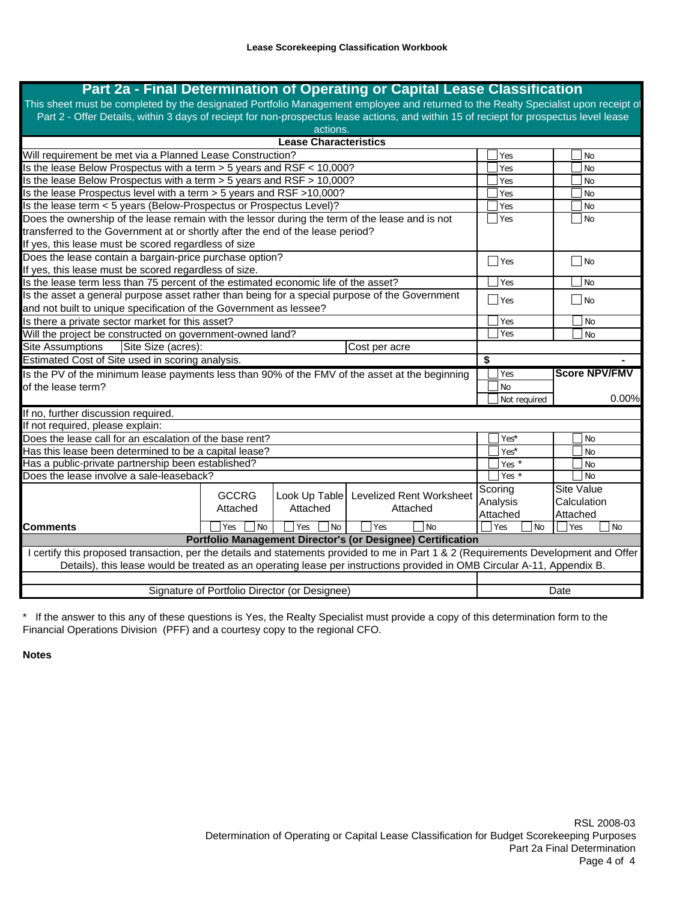# **Part 2a - Final Determination of Operating or Capital Lease Classification**

This sheet must be completed by the designated Portfolio Management employee and returned to the Realty Specialist upon receipt of Part 2 - Offer Details, within 3 days of reciept for non-prospectus lease actions, and within 15 of reciept for prospectus level lease actions.

|                                                                                                                                      |                  | <b>Lease Characteristics</b>                  |                                                             |  |                  |      |                         |
|--------------------------------------------------------------------------------------------------------------------------------------|------------------|-----------------------------------------------|-------------------------------------------------------------|--|------------------|------|-------------------------|
| Will requirement be met via a Planned Lease Construction?                                                                            |                  |                                               |                                                             |  | Yes              |      | <b>No</b>               |
| Is the lease Below Prospectus with a term $> 5$ years and RSF $< 10,000$ ?                                                           |                  |                                               |                                                             |  | Yes              |      | <b>No</b>               |
| Is the lease Below Prospectus with a term > 5 years and RSF > 10,000?                                                                |                  |                                               |                                                             |  | Yes              |      | <b>No</b>               |
| Is the lease Prospectus level with a term > 5 years and RSF >10,000?                                                                 |                  |                                               |                                                             |  | Yes              |      | No                      |
| Is the lease term < 5 years (Below-Prospectus or Prospectus Level)?                                                                  |                  |                                               |                                                             |  | Yes              |      | <b>No</b>               |
| Does the ownership of the lease remain with the lessor during the term of the lease and is not                                       |                  |                                               |                                                             |  | Yes              |      | l No                    |
| transferred to the Government at or shortly after the end of the lease period?                                                       |                  |                                               |                                                             |  |                  |      |                         |
| If yes, this lease must be scored regardless of size                                                                                 |                  |                                               |                                                             |  |                  |      |                         |
| Does the lease contain a bargain-price purchase option?                                                                              |                  |                                               |                                                             |  | $\Box$ Yes       |      | ∣ INo                   |
| If yes, this lease must be scored regardless of size.                                                                                |                  |                                               |                                                             |  |                  |      |                         |
| Is the lease term less than 75 percent of the estimated economic life of the asset?                                                  |                  |                                               |                                                             |  | Yes              |      | l No                    |
| Is the asset a general purpose asset rather than being for a special purpose of the Government                                       |                  |                                               |                                                             |  | Yes              |      | $ $ No                  |
| and not built to unique specification of the Government as lessee?                                                                   |                  |                                               |                                                             |  |                  |      |                         |
| Is there a private sector market for this asset?                                                                                     |                  |                                               |                                                             |  | Yes              |      | <b>No</b>               |
| Will the project be constructed on government-owned land?                                                                            |                  |                                               |                                                             |  | Yes              |      | <b>No</b>               |
| Site Size (acres):<br><b>Site Assumptions</b><br>Cost per acre                                                                       |                  |                                               |                                                             |  |                  |      |                         |
| Estimated Cost of Site used in scoring analysis.<br>\$                                                                               |                  |                                               |                                                             |  |                  |      |                         |
|                                                                                                                                      |                  |                                               |                                                             |  |                  |      |                         |
| Is the PV of the minimum lease payments less than 90% of the FMV of the asset at the beginning                                       |                  |                                               |                                                             |  | Yes              |      | <b>Score NPV/FMV</b>    |
| of the lease term?                                                                                                                   |                  |                                               |                                                             |  | No               |      |                         |
|                                                                                                                                      |                  |                                               |                                                             |  | Not required     |      | 0.00%                   |
| If no, further discussion required.                                                                                                  |                  |                                               |                                                             |  |                  |      |                         |
| If not required, please explain:                                                                                                     |                  |                                               |                                                             |  |                  |      |                         |
| Does the lease call for an escalation of the base rent?                                                                              |                  |                                               |                                                             |  | Yes <sup>*</sup> |      | <b>No</b>               |
| Has this lease been determined to be a capital lease?                                                                                |                  |                                               |                                                             |  | Yes*             |      | <b>No</b>               |
| Has a public-private partnership been established?                                                                                   |                  |                                               |                                                             |  | Yes *            |      | <b>No</b>               |
| Does the lease involve a sale-leaseback?                                                                                             |                  |                                               |                                                             |  | Yes $*$          |      | <b>No</b>               |
|                                                                                                                                      |                  |                                               |                                                             |  | Scoring          |      | <b>Site Value</b>       |
|                                                                                                                                      | <b>GCCRG</b>     | Look Up Table                                 | <b>Levelized Rent Worksheet</b>                             |  | Analysis         |      | Calculation             |
|                                                                                                                                      | Attached         | Attached                                      | Attached                                                    |  | Attached         |      | Attached                |
| <b>Comments</b>                                                                                                                      | Yes<br><b>No</b> | Yes <br>N <sub>o</sub>                        | Yes<br>No                                                   |  | Yes<br><b>No</b> |      | <b>Yes</b><br><b>No</b> |
|                                                                                                                                      |                  |                                               | Portfolio Management Director's (or Designee) Certification |  |                  |      |                         |
| I certify this proposed transaction, per the details and statements provided to me in Part 1 & 2 (Requirements Development and Offer |                  |                                               |                                                             |  |                  |      |                         |
| Details), this lease would be treated as an operating lease per instructions provided in OMB Circular A-11, Appendix B.              |                  |                                               |                                                             |  |                  |      |                         |
|                                                                                                                                      |                  | Signature of Portfolio Director (or Designee) |                                                             |  |                  | Date |                         |

\* If the answer to this any of these questions is Yes, the Realty Specialist must provide a copy of this determination form to the Financial Operations Division (PFF) and a courtesy copy to the regional CFO.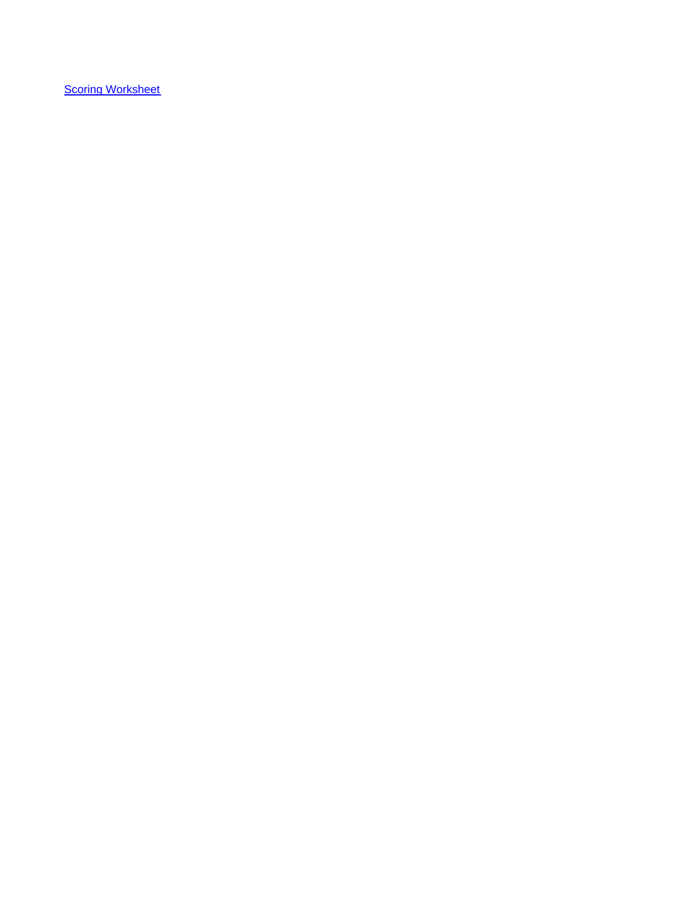**Scoring Worksheet**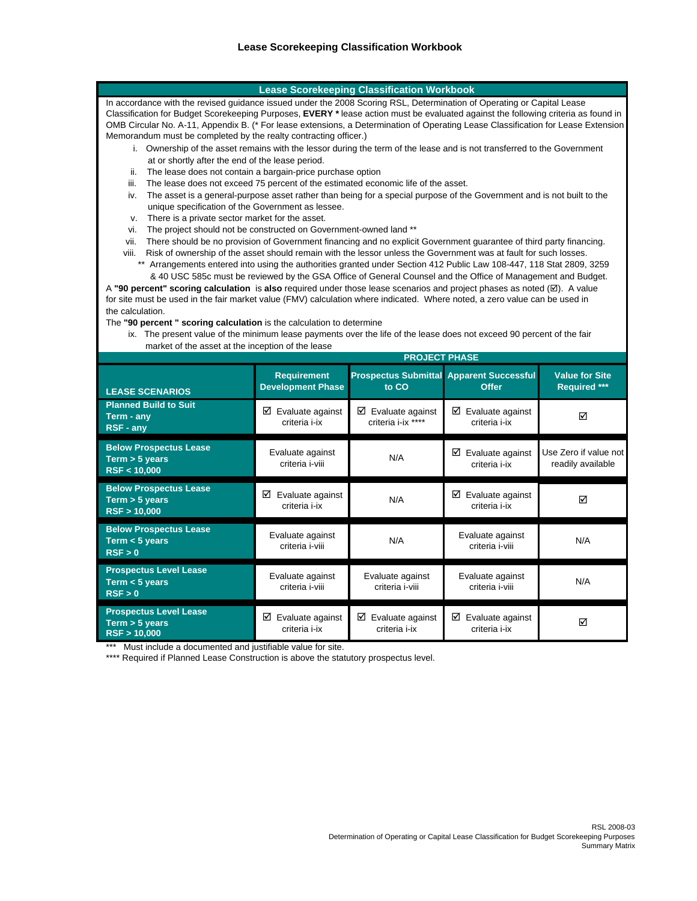#### **Lease Scorekeeping Classification Workbook**

In accordance with the revised guidance issued under the 2008 Scoring RSL, Determination of Operating or Capital Lease Classification for Budget Scorekeeping Purposes, **EVERY \*** lease action must be evaluated against the following criteria as found in OMB Circular No. A-11, Appendix B. (\* For lease extensions, a Determination of Operating Lease Classification for Lease Extension Memorandum must be completed by the realty contracting officer.)

- i. Ownership of the asset remains with the lessor during the term of the lease and is not transferred to the Government at or shortly after the end of the lease period.
- ii. The lease does not contain a bargain-price purchase option
- iii. The lease does not exceed 75 percent of the estimated economic life of the asset.
- unique specification of the Government as lessee. iv. The asset is a general-purpose asset rather than being for a special purpose of the Government and is not built to the
- v. There is a private sector market for the asset.
- vi. The project should not be constructed on Government-owned land \*\*
- vii. There should be no provision of Government financing and no explicit Government guarantee of third party financing.
- viii. Risk of ownership of the asset should remain with the lessor unless the Government was at fault for such losses.
	- \*\* Arrangements entered into using the authorities granted under Section 412 Public Law 108-447, 118 Stat 2809, 3259 & 40 USC 585c must be reviewed by the GSA Office of General Counsel and the Office of Management and Budget.

the calculation. for site must be used in the fair market value (FMV) calculation where indicated. Where noted, a zero value can be used in A **"90 percent" scoring calculation** is **also** required under those lease scenarios and project phases as noted (;). A value

The **"90 percent " scoring calculation** is the calculation to determine

 market of the asset at the inception of the lease ix. The present value of the minimum lease payments over the life of the lease does not exceed 90 percent of the fair

|                                                                 | <b>PROJECT PHASE</b>                           |                                             |                                                                 |                                              |  |
|-----------------------------------------------------------------|------------------------------------------------|---------------------------------------------|-----------------------------------------------------------------|----------------------------------------------|--|
| <b>LEASE SCENARIOS</b>                                          | <b>Requirement</b><br><b>Development Phase</b> | to CO                                       | <b>Prospectus Submittal Apparent Successful</b><br><b>Offer</b> | <b>Value for Site</b><br><b>Required ***</b> |  |
| <b>Planned Build to Suit</b><br>Term - any<br><b>RSF - any</b>  | ☑<br>Evaluate against<br>criteria i-ix         | ☑<br>Evaluate against<br>criteria i-ix **** | ☑<br>Evaluate against<br>criteria i-ix                          | ⊠                                            |  |
| <b>Below Prospectus Lease</b><br>Term > 5 years<br>RSF < 10,000 | Evaluate against<br>criteria i-viii            | N/A                                         | Evaluate against<br>☑<br>criteria i-ix                          | Use Zero if value not<br>readily available   |  |
| <b>Below Prospectus Lease</b><br>Term > 5 years<br>RSF > 10,000 | ☑<br>Evaluate against<br>criteria i-ix         | N/A                                         | ☑<br>Evaluate against<br>criteria i-ix                          | ⊠                                            |  |
| <b>Below Prospectus Lease</b><br>Term $<$ 5 years<br>RSF > 0    | Evaluate against<br>criteria i-viii            | N/A                                         | Evaluate against<br>criteria i-viii                             | N/A                                          |  |
| <b>Prospectus Level Lease</b><br>Term $<$ 5 years<br>RSF > 0    | Evaluate against<br>criteria i-viii            | Evaluate against<br>criteria i-viii         | Evaluate against<br>criteria i-viii                             | N/A                                          |  |
| <b>Prospectus Level Lease</b><br>Term > 5 years<br>RSF > 10,000 | ☑<br>Evaluate against<br>criteria i-ix         | ☑<br>Evaluate against<br>criteria i-ix      | ☑<br>Evaluate against<br>criteria i-ix                          | ☑                                            |  |

\*\* Must include a documented and justifiable value for site.

\*\*\*\* Required if Planned Lease Construction is above the statutory prospectus level.